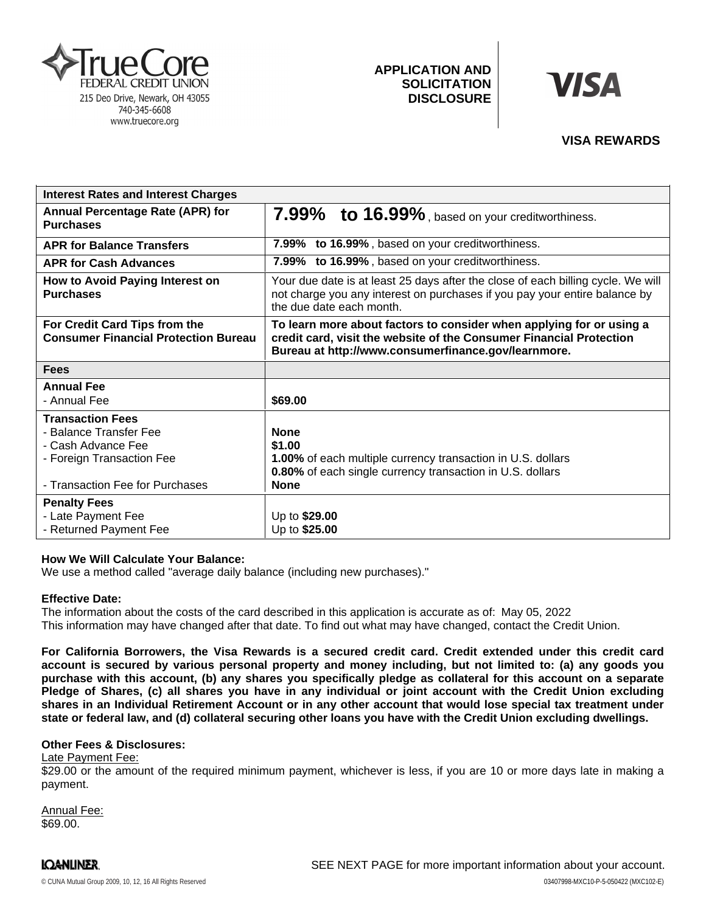

# **APPLICATION AND SOLICITATION DISCLOSURE**



## **VISA REWARDS**

| <b>Interest Rates and Interest Charges</b>                                   |                                                                                                                                                                                                    |
|------------------------------------------------------------------------------|----------------------------------------------------------------------------------------------------------------------------------------------------------------------------------------------------|
| <b>Annual Percentage Rate (APR) for</b><br><b>Purchases</b>                  | 7.99% to 16.99%, based on your creditworthiness.                                                                                                                                                   |
| <b>APR for Balance Transfers</b>                                             | 7.99% to 16.99%, based on your creditworthiness.                                                                                                                                                   |
| <b>APR for Cash Advances</b>                                                 | 7.99% to 16.99%, based on your creditworthiness.                                                                                                                                                   |
| How to Avoid Paying Interest on<br><b>Purchases</b>                          | Your due date is at least 25 days after the close of each billing cycle. We will<br>not charge you any interest on purchases if you pay your entire balance by<br>the due date each month.         |
| For Credit Card Tips from the<br><b>Consumer Financial Protection Bureau</b> | To learn more about factors to consider when applying for or using a<br>credit card, visit the website of the Consumer Financial Protection<br>Bureau at http://www.consumerfinance.gov/learnmore. |
| <b>Fees</b>                                                                  |                                                                                                                                                                                                    |
| <b>Annual Fee</b>                                                            |                                                                                                                                                                                                    |
| - Annual Fee                                                                 | \$69.00                                                                                                                                                                                            |
| <b>Transaction Fees</b>                                                      |                                                                                                                                                                                                    |
| - Balance Transfer Fee                                                       | <b>None</b>                                                                                                                                                                                        |
| - Cash Advance Fee                                                           | \$1.00                                                                                                                                                                                             |
| - Foreign Transaction Fee                                                    | 1.00% of each multiple currency transaction in U.S. dollars                                                                                                                                        |
|                                                                              | 0.80% of each single currency transaction in U.S. dollars                                                                                                                                          |
| - Transaction Fee for Purchases                                              | <b>None</b>                                                                                                                                                                                        |
| <b>Penalty Fees</b>                                                          |                                                                                                                                                                                                    |
| - Late Payment Fee                                                           | Up to \$29.00                                                                                                                                                                                      |
| - Returned Payment Fee                                                       | Up to \$25.00                                                                                                                                                                                      |

### **How We Will Calculate Your Balance:**

We use a method called "average daily balance (including new purchases)."

### **Effective Date:**

The information about the costs of the card described in this application is accurate as of: May 05, 2022This information may have changed after that date. To find out what may have changed, contact the Credit Union.

For California Borrowers, the Visa Rewards is a secured credit card. Credit extended under this credit card account is secured by various personal property and money including, but not limited to: (a) any goods you purchase with this account, (b) any shares you specifically pledge as collateral for this account on a separate Pledge of Shares, (c) all shares you have in any individual or joint account with the Credit Union excluding shares in an Individual Retirement Account or in any other account that would lose special tax treatment under **state or federal law, and (d) collateral securing other loans you have with the Credit Union excluding dwellings.**

### **Other Fees & Disclosures:**

Late Payment Fee:

\$29.00 or the amount of the required minimum payment, whichever is less, if you are 10 or more days late in making a payment.

Annual Fee: \$69.00.